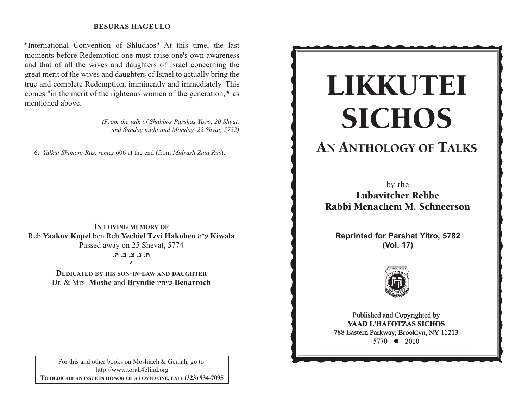#### **BESURAS HAGEULO**

"International Convention of Shluchos" At this time, the last moments before Redemption one must raise one's own awareness and that of all the wives and daughters of Israel concerning the great merit of the wives and daughters of Israel to actually bring the true and complete Redemption, imminently and immediately. This comes "in the merit of the righteous women of the generation," as mentioned above.

> (From the talk of Shabbos Parshas Yisro, 20 Shvat, and Sunday night and Monday, 22 Shvat, 5752)

6. Yalkut Shimoni Rus, remez 606 at the end (from Midrash Zuta Rus).

IN LOVING MEMORY OF Reb Yaakov Kopel ben Reb Yechiel Tzvi Hakohen ש"ר Kiwala Passed away on 25 Shevat, 5774

ת. נ. צ. ב. ה.

**DEDICATED BY HIS SON-IN-LAW AND DAUGHTER** Dr. & Mrs. Moshe and Bryndie שיחיו Benarroch

For this and other books on Moshiach & Geulah, go to: http://www.torah4blind.org TO DEDICATE AN ISSUE IN HONOR OF A LOVED ONE, CALL (323) 934-7095

# LIKKUTEI **SICHOS**

# **AN ANTHOLOGY OF TALKS**

by the **Lubavitcher Rebbe** Rabbi Menachem M. Schneerson

**Reprinted for Parshat Yitro, 5782** (Vol. 17)



Published and Copyrighted by **VAAD L'HAFOTZAS SICHOS** 788 Eastern Parkway, Brooklyn, NY 11213 5770 • 2010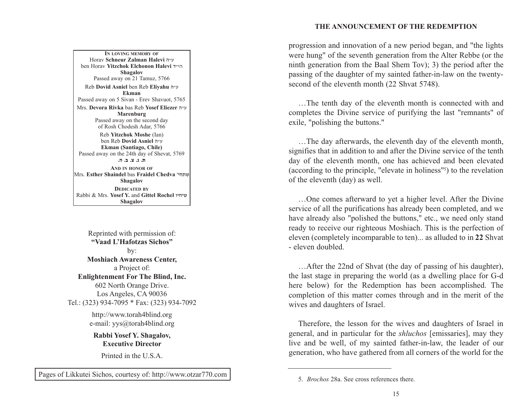#### **THE ANNOUNCEMENT OF THE REDEMPTION**

A PARALLEL BETWEEN MANNA AND SHABBOS Mrs. **Devora Rivka** bas Reb **Yosef Eliezer** v"g **IN LOVING MEMORY OF**Horav **Schneur Zalman Halevi** v"g ben Horav **Yitzchok Elchonon Halevi** s"hv**Shagalov** Passed away on 21 Tamuz, 5766 Reb **Dovid Asniel** ben Reb **Eliyahu** <sup>v</sup>"g **Ekman**Passed away on 5 Sivan - Erev Shavuot, 5765 **Marenburg** Passed away on the second day of Rosh Chodesh Adar, 5766 Reb **Yitzchok Moshe** (Ian) ben Reb **Dovid Asniel** v"g **Ekman (Santiago, Chile)** Passed away on the 24th day of Shevat, 5769 **/v /c /m /b /, AND IN HONOR OF**Mrs. **Esther Shaindel** bas **Fraidel Chedva** whj,a**Shagalov DEDICATED BY**Rabbi & Mrs. **Yosef Y.** and **Gittel Rochel** uhjha**Shagalov**

Reprinted with permission of: **"Vaad L'Hafotzas Sichos"**by: **Moshiach Awareness Center,** a Project of: **Enlightenment For The Blind, Inc.** 602 North Orange Drive. Los Angeles, CA 90036 Tel.: (323) 934-7095 \* Fax: (323) 934-7092

> http://www.torah4blind.org e-mail: yys@torah4blind.org

**Rabbi Yosef Y. Shagalov, Executive Director**

Printed in the U.S.A.

Pages of Likkutei Sichos, courtesy of: http://www.otzar770.com

progression and innovation of a new period began, and "the lights were hung" of the seventh generation from the Alter Rebbe (or the ninth generation from the Baal Shem Tov); 3) the period after the passing of the daughter of my sainted father-in-law on the twentysecond of the eleventh month (22 Shvat 5748).

…The tenth day of the eleventh month is connected with and completes the Divine service of purifying the last "remnants" of exile, "polishing the buttons."

…The day afterwards, the eleventh day of the eleventh month, signifies that in addition to and after the Divine service of the tenth day of the eleventh month, one has achieved and been elevated (according to the principle, "elevate in holiness"5) to the revelation of the eleventh (day) as well.

…One comes afterward to yet a higher level. After the Divine service of all the purifications has already been completed, and we have already also "polished the buttons," etc., we need only stand ready to receive our righteous Moshiach. This is the perfection of eleven (completely incomparable to ten)... as alluded to in **22** Shvat - eleven doubled.

…After the 22nd of Shvat (the day of passing of his daughter), the last stage in preparing the world (as a dwelling place for G-d here below) for the Redemption has been accomplished. The completion of this matter comes through and in the merit of the wives and daughters of Israel.

Therefore, the lesson for the wives and daughters of Israel in general, and in particular for the *shluchos* [emissaries], may they live and be well, of my sainted father-in-law, the leader of our generation, who have gathered from all corners of the world for the

<sup>5.</sup> *Brochos* 28a. See cross references there.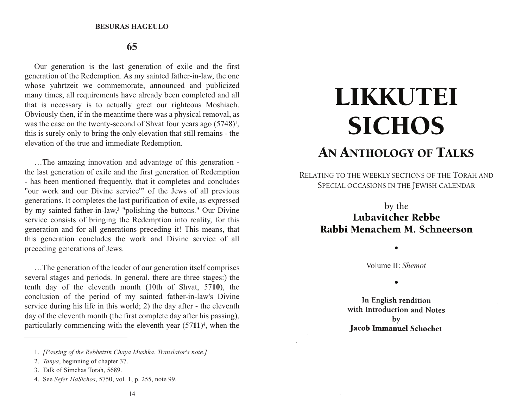#### **65**

Our generation is the last generation of exile and the first generation of the Redemption. As my sainted father-in-law, the one whose yahrtzeit we commemorate, announced and publicized many times, all requirements have already been completed and all that is necessary is to actually greet our righteous Moshiach. Obviously then, if in the meantime there was a physical removal, as was the case on the twenty-second of Shvat four years ago (5748)<sup>1</sup>, this is surely only to bring the only elevation that still remains - the elevation of the true and immediate Redemption.

…The amazing innovation and advantage of this generation the last generation of exile and the first generation of Redemption - has been mentioned frequently, that it completes and concludes "our work and our Divine service"2 of the Jews of all previous generations. It completes the last purification of exile, as expressed by my sainted father-in-law,3 "polishing the buttons." Our Divine service consists of bringing the Redemption into reality, for this generation and for all generations preceding it! This means, that this generation concludes the work and Divine service of all preceding generations of Jews.

…The generation of the leader of our generation itself comprises several stages and periods. In general, there are three stages:) the tenth day of the eleventh month (10th of Shvat, 57**10**), the conclusion of the period of my sainted father-in-law's Divine service during his life in this world; 2) the day after - the eleventh day of the eleventh month (the first complete day after his passing), particularly commencing with the eleventh year (57**11**)4, when the

# LIKKUTEI **SICHOS** AN ANTHOLOGY OF TALKS

RELATING TO THE WEEKLY SECTIONS OF THE TORAH AND SPECIAL OCCASIONS IN THE JEWISH CALENDAR

# by the Lubavitcher Rebbe Rabbi Menachem M. Schneerson

Volume II: *Shemot*

 $\bullet$ 

•

In English rendition with Introduction and Notes  $$ **Jacob Immanuel Schochet** 

<sup>1.</sup> *[Passing of the Rebbetzin Chaya Mushka. Translator's note.]*

<sup>2.</sup> *Tanya*, beginning of chapter 37.

<sup>3.</sup> Talk of Simchas Torah, 5689.

<sup>4.</sup> See *Sefer HaSichos*, 5750, vol. 1, p. 255, note 99.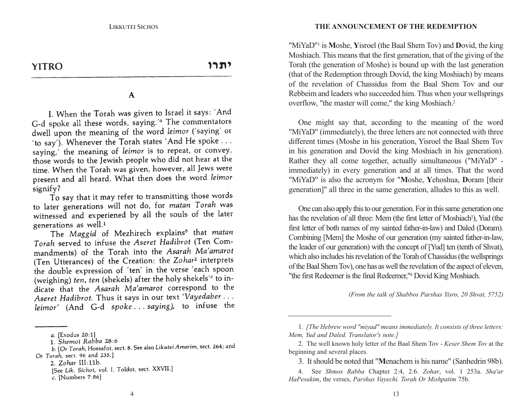**YITRO** 

יתרו

#### $\mathbf{A}$

I. When the Torah was given to Israel it says: 'And G-d spoke all these words, saying.'<sup>*a*</sup> The commentators dwell upon the meaning of the word leimor ('saying' or 'to say'). Whenever the Torah states 'And He spoke ... saying,' the meaning of leimor is to repeat, or convey, those words to the Jewish people who did not hear at the time. When the Torah was given, however, all Jews were present and all heard. What then does the word leimor signify?

To say that it may refer to transmitting those words to later generations will not do, for matan Torah was witnessed and experiened by all the souls of the later generations as well.<sup>1</sup>

The Maggid of Mezhirech explains<sup>b</sup> that matan Torah served to infuse the Aseret Hadibrot (Ten Commandments) of the Torah into the Asarah Ma'amarot (Ten Utterances) of the Creation: the Zohar<sup>2</sup> interprets the double expression of 'ten' in the verse 'each spoon (weighing) ten, ten (shekels) after the holy shekels'<sup>c</sup> to indicate that the Asarah Ma'amarot correspond to the Aseret Hadibrot. Thus it says in our text 'Vayedaber... leimor' (And G-d spoke... saying), to infuse the **THE ANNOUNCEMENT OF THE REDEMPTION**

"MiYaD"1 is **M**oshe, **Y**isroel (the Baal Shem Tov) and **D**ovid, the king Moshiach. This means that the first generation, that of the giving of the Torah (the generation of Moshe) is bound up with the last generation (that of the Redemption through Dovid, the king Moshiach) by means of the revelation of Chassidus from the Baal Shem Tov and ourRebbeim and leaders who succeeded him. Thus when your wellsprings overflow, "the master will come," the king Moshiach.2

One might say that, according to the meaning of the word "MiYaD" (immediately), the three letters are not connected with three different times (Moshe in his generation, Yisroel the Baal Shem Tov in his generation and Dovid the king Moshiach in his generation). Rather they all come together, actually simultaneous ("MiYaD" immediately) in every generation and at all times. That the word "MiYaD" is also the acronym for "**M**oshe, **Y**ehoshua, **D**oram [their generation]" all three in the same generation, alludes to this as well.

One can also apply this to our generation. For in this same generation one has the revelation of all three: Mem (the first letter of Moshiach<sup>3</sup>), Yud (the first letter of both names of my sainted father-in-law) and Daled (Doram). Combining [Mem] the Moshe of our generation (my sainted father-in-law, the leader of our generation) with the concept of [Yud] ten (tenth of Shvat), which also includes his revelation of the Torah of Chassidus (the wellsprings of the Baal Shem Tov), one has as well the revelation of the aspect of eleven, "the first Redeemer is the final Redeemer,"4 Dovid King Moshiach.

*(From the talk of Shabbos Parshas Yisro, 20 Shvat, 5752)*

a. [Exodus 20:1]

<sup>1.</sup> Shemot Rabba 28:6

<sup>1.</sup> Shemot Kubbu 28.0<br>b. [Or Torah, Hossafot, sect. 8. See also Likutei Amarim, sect. 264; and Or Torah, sect. 96 and 235.]

<sup>2.</sup> Zohar III:11b.

<sup>[</sup>See Lik. Sichot, vol. I, Toldot, sect. XXVII.]

c. [Numbers 7:86]

<sup>1.</sup> *[The Hebrew word "miyad" means immediately. It consists of three letters: Mem, Yud and Daled. Translator's note.]*

<sup>2.</sup> The well known holy letter of the Baal Shem Tov - *Keser Shem Tov* at the beginning and several places.

<sup>3.</sup> It should be noted that "**M**enachem is his name" (Sanhedrin 98b).

<sup>4.</sup> See *Shmos Rabba* Chapter 2:4, 2:6. *Zohar*, vol. 1 253a. *Sha'ar HaPesukim*, the verses, *Parshas Vayechi. Torah Or Mishpatim* 75b.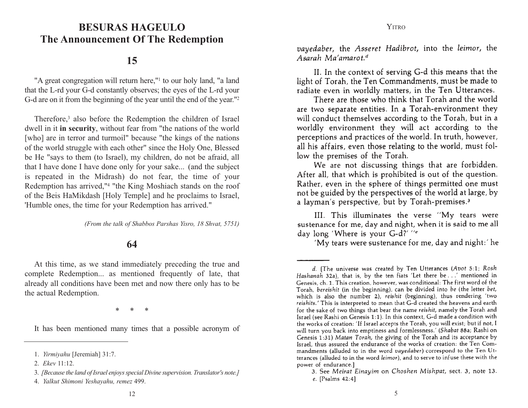## **BESURAS HAGEULO BESURAS HAGEULO The Announcement Of The Redemption**

### **15**

"A great congregation will return here,"<sup>1</sup> to our holy land, "a land that the L-rd your G-d constantly observes; the eyes of the L-rd your G-d are on it from the beginning of the year until the end of the year."2

Therefore,3 also before the Redemption the children of Israel dwell in it **in security**, without fear from "the nations of the world [who] are in terror and turmoil" because "the kings of the nations of the world struggle with each other" since the Holy One, Blessed be He "says to them (to Israel), my children, do not be afraid, all that I have done I have done only for your sake... (and the subject is repeated in the Midrash) do not fear, the time of your Redemption has arrived,"4 "the King Moshiach stands on the roof of the Beis HaMikdash [Holy Temple] and he proclaims to Israel, 'Humble ones, the time for your Redemption has arrived."

*(From the talk of Shabbos Parshas Yisro, 18 Shvat, 5751)*

#### **64**

At this time, as we stand immediately preceding the true and complete Redemption... as mentioned frequently of late, that already all conditions have been met and now there only has to be the actual Redemption.

 $*<sup>∗</sup>$ 

It has been mentioned many times that a possible acronym of

vayedaber, the Asseret Hadibrot, into the leimor, the Asarah Ma'amarot.<sup>d</sup>

II. In the context of serving G-d this means that the light of Torah, the Ten Commandments, must be made to radiate even in worldly matters, in the Ten Utterances.

There are those who think that Torah and the world are two separate entities. In a Torah-environment they will conduct themselves according to the Torah, but in a worldly environment they will act according to the perceptions and practices of the world. In truth, however, all his affairs, even those relating to the world, must follow the premises of the Torah.

We are not discussing things that are forbidden. After all, that which is prohibited is out of the question. Rather, even in the sphere of things permitted one must not be guided by the perspectives of the world at large, by a layman's perspective, but by Torah-premises.<sup>3</sup>

III. This illuminates the verse "My tears were sustenance for me, day and night, when it is said to me all day long 'Where is your G-d?' "e

'My tears were sustenance for me, day and night:' he

<sup>1.</sup> *Yirmiyahu* [Jeremiah] 31:7.

<sup>2.</sup> *Ekev* 11:12.

<sup>3.</sup> *[Because the land of Israel enjoys special Divine supervision. Translator's note.]*

<sup>4.</sup> *Yalkut Shimoni Yeshayahu, remez* 499.

d. [The universe was created by Ten Utterances (Avot 5:1; Rosh Hashanah 32a), that is, by the ten fiats 'Let there be . . .' mentioned in Genesis, ch. 1. This creation, however, was conditional: The first word of the Torah, bereishit (in the beginning), can be divided into be (the letter bet, which is also the number 2), reishit (beginning), thus rendering 'two reishits.' This is interpreted to mean that G-d created the heavens and earth for the sake of two things that bear the name reishit, namely the Torah and Israel (see Rashi on Genesis 1:1). In this context, G-d made a condition with the works of creation: 'If Israel accepts the Torah, you will exist; but if not, I will turn you back into emptiness and formlessness.' (Shabat 88a; Rashi on Genesis 1:31) Matan Torah, the giving of the Torah and its acceptance by Israel, thus assured the endurance of the works of creation: the Ten Commandments (alluded to in the word vayedaber) correspond to the Ten Utterances (alluded to in the word leimor), and to serve to infuse these with the power of endurance.]

<sup>3.</sup> See Meirat Einayim on Choshen Mishpat, sect. 3, note 13. e. [Psalms 42:4]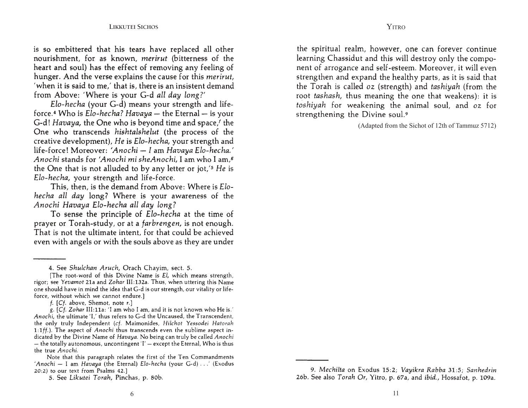is so embittered that his tears have replaced all other nourishment, for as known, merirut (bitterness of the heart and soul) has the effect of removing any feeling of hunger. And the verse explains the cause for this *merirut*, 'when it is said to me,' that is, there is an insistent demand from Above: 'Where is your G-d all day long?'

Elo-hecha (your G-d) means your strength and lifeforce.<sup>4</sup> Who is *Elo-hecha? Havaya* - the Eternal - is your G-d! *Havaya*, the One who is beyond time and space, the One who transcends hishtalshelut (the process of the creative development), He is Elo-hecha, your strength and life-force! Moreover: 'Anochi - I am Havaya Elo-hecha.' Anochi stands for 'Anochi mi sheAnochi, I am who I am,<sup>8</sup> the One that is not alluded to by any letter or jot,'<sup>5</sup> He is Elo-hecha, your strength and life-force.

This, then, is the demand from Above: Where is Elohecha all day long? Where is your awareness of the Anochi Havaya Elo-hecha all day long?

To sense the principle of Elo-hecha at the time of prayer or Torah-study, or at a farbrengen, is not enough. That is not the ultimate intent, for that could be achieved even with angels or with the souls above as they are under

g. [Cf. Zohar III:11a: 'I am who I am, and it is not known who He is.' Anochi, the ultimate 'I,' thus refers to G-d the Uncaused, the Transcendent, the only truly Independent (cf. Maimonides, Hilchot Yessodei Hatorah 1:1ff.). The aspect of *Anochi* thus transcends even the sublime aspect indicated by the Divine Name of Havaya. No being can truly be called Anochi - the totally autonomous, uncontingent  $I'$  - except the Eternal, Who is thus the true Anochi.

Note that this paragraph relates the first of the Ten Commandments 'Anochi - I am Havaya (the Eternal) Elo-hecha (your G-d) ...' (Exodus 20:2) to our text from Psalms 42.]

5. See Likutei Torah, Pinchas, p. 80b.

the spiritual realm, however, one can forever continue learning Chassidut and this will destroy only the component of arrogance and self-esteem. Moreover, it will even strengthen and expand the healthy parts, as it is said that the Torah is called oz (strength) and tashiyah (from the root tashash, thus meaning the one that weakens): it is toshiyah for weakening the animal soul, and oz for strengthening the Divine soul.9

(Adapted from the Sichot of 12th of Tammuz 5712)

<sup>4.</sup> See Shulchan Aruch, Orach Chayim, sect. 5.

<sup>[</sup>The root-word of this Divine Name is El, which means strength, rigor; see Yevamot 21a and Zohar III:132a. Thus, when uttering this Name one should have in mind the idea that G-d is our strength, our vitality or lifeforce, without which we cannot endure.]

f. [Cf. above, Shemot, note r.]

<sup>9.</sup> Mechilta on Exodus 15:2; Vayikra Rabba 31:5; Sanhedrin 26b. See also Torah Or, Yitro, p. 67a, and *ibid.*, Hossafot, p. 109a.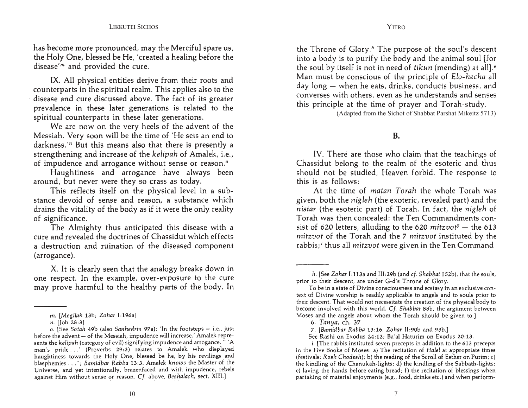has become more pronounced, may the Merciful spare us, the Holy One, blessed be He, 'created a healing before the disease'<sup>m</sup> and provided the cure.

IX. All physical entities derive from their roots and counterparts in the spiritual realm. This applies also to the disease and cure discussed above. The fact of its greater prevalence in these later generations is related to the spiritual counterparts in these later generations.

We are now on the very heels of the advent of the Messiah. Very soon will be the time of 'He sets an end to darkness. $n$  But this means also that there is presently a strengthening and increase of the kelipah of Amalek, i.e., of impudence and arrogance without sense or reason.<sup>o</sup>

Haughtiness and arrogance have always been around, but never were they so crass as today.

This reflects itself on the physical level in a substance devoid of sense and reason, a substance which drains the vitality of the body as if it were the only reality of significance.

The Almighty thus anticipated this disease with a cure and revealed the doctrines of Chassidut which effects a destruction and ruination of the diseased component (arrogance).

X. It is clearly seen that the analogy breaks down in one respect. In the example, over-exposure to the cure may prove harmful to the healthy parts of the body. In into a body is to purify the body and the animal soul [for the soul by itself is not in need of tikun (mending) at all].<sup>6</sup> Man must be conscious of the principle of Elo-hecha all day long – when he eats, drinks, conducts business, and converses with others, even as he understands and senses this principle at the time of prayer and Torah-study.

**YITRO** 

(Adapted from the Sichot of Shabbat Parshat Mikeitz 5713)

**B.** 

IV. There are those who claim that the teachings of Chassidut belong to the realm of the esoteric and thus should not be studied, Heaven forbid. The response to this is as follows:

At the time of matan Torah the whole Torah was given, both the *nigleh* (the exoteric, revealed part) and the nistar (the esoteric part) of Torah. In fact, the nigleh of Torah was then concealed: the Ten Commandments consist of 620 letters, alluding to the 620 mitzvot<sup>7</sup> - the 613 mitzvot of the Torah and the 7 mitzvot instituted by the rabbis;<sup>*i*</sup> thus all *mitzvot* were given in the Ten Command-

m. [Megilah 13b; Zohar I:196a]

*n.* [Job 28:3]

o. [See Sotah 49b (also Sanhedrin 97a): 'In the footsteps - i.e., just before the advent - of the Messiah, impudence will increase.' Amalek represents the kelipah (category of evil) signifying impudence and arrogance. " 'A man's pride ...' (Proverbs 29:3) relates to Amalek who displayed haughtiness towards the Holy One, blessed be he, by his revilings and blasphemies . . ."; Bamidbar Rabba 13:3. Amalek knows the Master of the Universe, and yet intentionally, brazenfaced and with impudence, rebels against Him without sense or reason. Cf. above, Beshalach, sect. XIII.]

h. [See Zohar I:113a and III:29b (and cf. Shabbat 152b), that the souls, prior to their descent, are under G-d's Throne of Glory.

To be in a state of Divine consciousness and ecstasy in an exclusive context of Divine worship is readily applicable to angels and to souls prior to their descent. That would not necessitate the creation of the physical body to become involved with this world. Cf. Shabbat 88b, the argument between Moses and the angels about whom the Torah should be given to.]

<sup>6.</sup> Tanya, ch. 37

<sup>7. [</sup>Bamidbar Rabba 13:16. Zohar II:90b and 93b.]

See Rashi on Exodus 24:12: Ba'al Haturim on Exodus 20:13.

*i.* [The rabbis instituted seven precepts in addition to the 613 precepts in the Five Books of Moses: a) The recitation of Halel at appropriate times (festivals; Rosh Chodesh); b) the reading of the Scroll of Esther on Purim; c) the kindling of the Chanukah-lights; d) the kindling of the Sabbath-lights; e) laving the hands before eating bread; f) the recitation of blessings when partaking of material enjoyments (e.g., food, drinks etc.) and when perform-